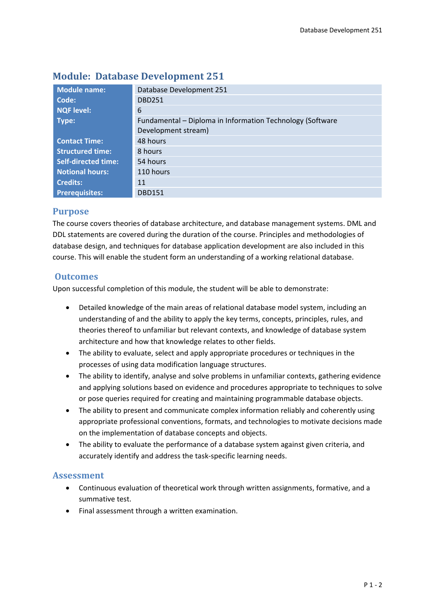| <b>Module name:</b>        | Database Development 251                                  |  |  |  |
|----------------------------|-----------------------------------------------------------|--|--|--|
| Code:                      | <b>DBD251</b>                                             |  |  |  |
| <b>NQF level:</b>          | 6                                                         |  |  |  |
| Type:                      | Fundamental - Diploma in Information Technology (Software |  |  |  |
|                            | Development stream)                                       |  |  |  |
| <b>Contact Time:</b>       | 48 hours                                                  |  |  |  |
| <b>Structured time:</b>    | 8 hours                                                   |  |  |  |
| <b>Self-directed time:</b> | 54 hours                                                  |  |  |  |
| <b>Notional hours:</b>     | 110 hours                                                 |  |  |  |
| <b>Credits:</b>            | 11                                                        |  |  |  |
| <b>Prerequisites:</b>      | <b>DBD151</b>                                             |  |  |  |

# **Module: Database Development 251**

## **Purpose**

The course covers theories of database architecture, and database management systems. DML and DDL statements are covered during the duration of the course. Principles and methodologies of database design, and techniques for database application development are also included in this course. This will enable the student form an understanding of a working relational database.

## **Outcomes**

Upon successful completion of this module, the student will be able to demonstrate:

- Detailed knowledge of the main areas of relational database model system, including an understanding of and the ability to apply the key terms, concepts, principles, rules, and theories thereof to unfamiliar but relevant contexts, and knowledge of database system architecture and how that knowledge relates to other fields.
- The ability to evaluate, select and apply appropriate procedures or techniques in the processes of using data modification language structures.
- The ability to identify, analyse and solve problems in unfamiliar contexts, gathering evidence and applying solutions based on evidence and procedures appropriate to techniques to solve or pose queries required for creating and maintaining programmable database objects.
- The ability to present and communicate complex information reliably and coherently using appropriate professional conventions, formats, and technologies to motivate decisions made on the implementation of database concepts and objects.
- The ability to evaluate the performance of a database system against given criteria, and accurately identify and address the task-specific learning needs.

## **Assessment**

- Continuous evaluation of theoretical work through written assignments, formative, and a summative test.
- Final assessment through a written examination.